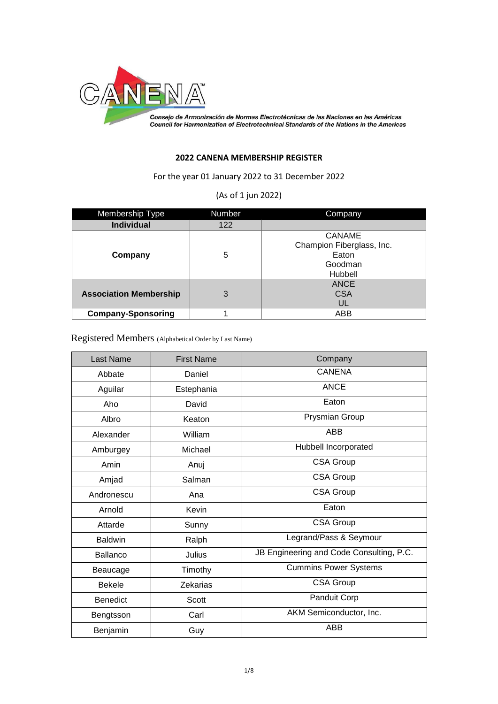

Consejo de Armonización de Normas Electrotécnicas de las Naciones en las Américas<br>Council for Harmonization of Electrotechnical Standards of the Nations in the Americas

## **2022 CANENA MEMBERSHIP REGISTER**

For the year 01 January 2022 to 31 December 2022

## (As of 1 jun 2022)

| Membership Type               | Number | Company                   |
|-------------------------------|--------|---------------------------|
| <b>Individual</b>             | 122    |                           |
|                               |        | <b>CANAME</b>             |
|                               |        | Champion Fiberglass, Inc. |
| Company                       | 5      | Eaton                     |
|                               |        | Goodman                   |
|                               |        | Hubbell                   |
|                               |        | <b>ANCE</b>               |
| <b>Association Membership</b> | 3      | <b>CSA</b>                |
|                               |        | UL                        |
| <b>Company-Sponsoring</b>     |        | ABB                       |

Registered Members (Alphabetical Order by Last Name)

| <b>Last Name</b> | <b>First Name</b> | Company                                  |
|------------------|-------------------|------------------------------------------|
| Abbate           | Daniel            | <b>CANENA</b>                            |
| Aguilar          | Estephania        | <b>ANCE</b>                              |
| Aho              | David             | Eaton                                    |
| Albro            | Keaton            | Prysmian Group                           |
| Alexander        | William           | <b>ABB</b>                               |
| Amburgey         | Michael           | Hubbell Incorporated                     |
| Amin             | Anuj              | <b>CSA Group</b>                         |
| Amjad            | Salman            | <b>CSA Group</b>                         |
| Andronescu       | Ana               | <b>CSA Group</b>                         |
| Arnold           | Kevin             | Eaton                                    |
| Attarde          | Sunny             | <b>CSA Group</b>                         |
| <b>Baldwin</b>   | Ralph             | Legrand/Pass & Seymour                   |
| <b>Ballanco</b>  | Julius            | JB Engineering and Code Consulting, P.C. |
| Beaucage         | Timothy           | <b>Cummins Power Systems</b>             |
| <b>Bekele</b>    | <b>Zekarias</b>   | <b>CSA Group</b>                         |
| <b>Benedict</b>  | Scott             | Panduit Corp                             |
| Bengtsson        | Carl              | AKM Semiconductor, Inc.                  |
| Benjamin         | Guy               | <b>ABB</b>                               |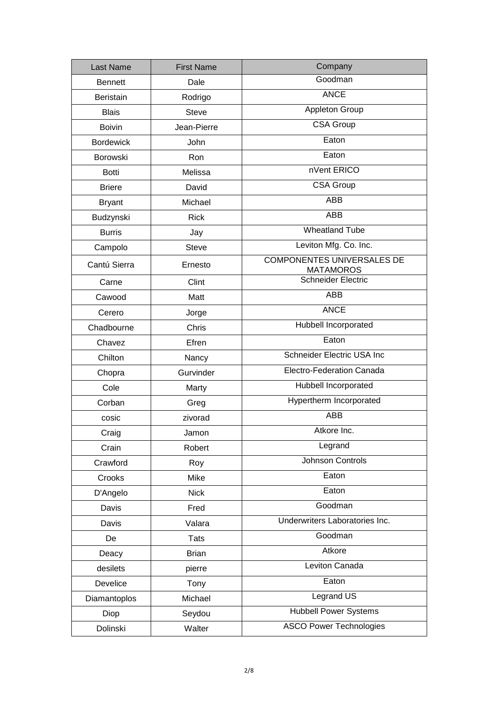| Last Name        | <b>First Name</b> | Company                                               |
|------------------|-------------------|-------------------------------------------------------|
| <b>Bennett</b>   | Dale              | Goodman                                               |
| Beristain        | Rodrigo           | <b>ANCE</b>                                           |
| <b>Blais</b>     | <b>Steve</b>      | Appleton Group                                        |
| <b>Boivin</b>    | Jean-Pierre       | CSA Group                                             |
| <b>Bordewick</b> | John              | Eaton                                                 |
| <b>Borowski</b>  | Ron               | Eaton                                                 |
| <b>Botti</b>     | Melissa           | nVent ERICO                                           |
| <b>Briere</b>    | David             | CSA Group                                             |
| <b>Bryant</b>    | Michael           | ABB                                                   |
| Budzynski        | <b>Rick</b>       | <b>ABB</b>                                            |
| <b>Burris</b>    | Jay               | <b>Wheatland Tube</b>                                 |
| Campolo          | <b>Steve</b>      | Leviton Mfg. Co. Inc.                                 |
| Cantú Sierra     | Ernesto           | <b>COMPONENTES UNIVERSALES DE</b><br><b>MATAMOROS</b> |
| Carne            | Clint             | <b>Schneider Electric</b>                             |
| Cawood           | Matt              | <b>ABB</b>                                            |
| Cerero           | Jorge             | <b>ANCE</b>                                           |
| Chadbourne       | Chris             | Hubbell Incorporated                                  |
| Chavez           | Efren             | Eaton                                                 |
| Chilton          | Nancy             | Schneider Electric USA Inc                            |
| Chopra           | Gurvinder         | Electro-Federation Canada                             |
| Cole             | Marty             | Hubbell Incorporated                                  |
| Corban           | Greg              | Hypertherm Incorporated                               |
| cosic            | zivorad           | <b>ABB</b>                                            |
| Craig            | Jamon             | Atkore Inc.                                           |
| Crain            | Robert            | Legrand                                               |
| Crawford         | Roy               | Johnson Controls                                      |
| Crooks           | Mike              | Eaton                                                 |
| D'Angelo         | <b>Nick</b>       | Eaton                                                 |
| Davis            | Fred              | Goodman                                               |
| Davis            | Valara            | Underwriters Laboratories Inc.                        |
| De               | <b>Tats</b>       | Goodman                                               |
| Deacy            | <b>Brian</b>      | Atkore                                                |
| desilets         | pierre            | Leviton Canada                                        |
| Develice         | Tony              | Eaton                                                 |
| Diamantoplos     | Michael           | Legrand US                                            |
| Diop             | Seydou            | <b>Hubbell Power Systems</b>                          |
| Dolinski         | Walter            | <b>ASCO Power Technologies</b>                        |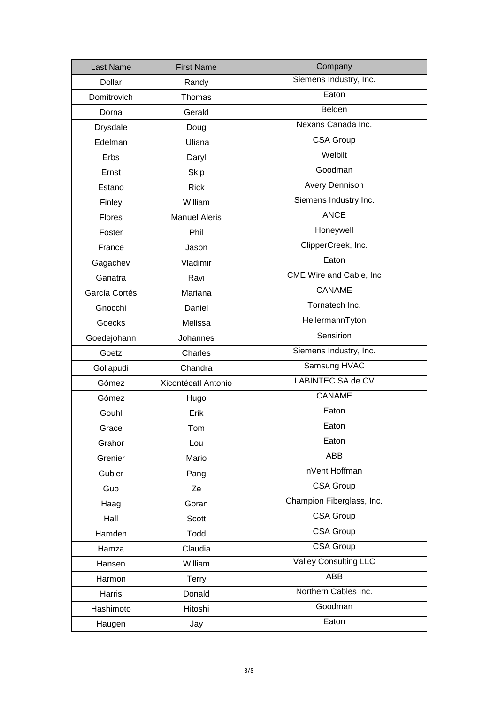| <b>Last Name</b> | <b>First Name</b>    | Company                      |
|------------------|----------------------|------------------------------|
| Dollar           | Randy                | Siemens Industry, Inc.       |
| Domitrovich      | Thomas               | Eaton                        |
| Dorna            | Gerald               | Belden                       |
| Drysdale         | Doug                 | Nexans Canada Inc.           |
| Edelman          | Uliana               | CSA Group                    |
| Erbs             | Daryl                | Welbilt                      |
| Ernst            | <b>Skip</b>          | Goodman                      |
| Estano           | <b>Rick</b>          | <b>Avery Dennison</b>        |
| Finley           | William              | Siemens Industry Inc.        |
| Flores           | <b>Manuel Aleris</b> | <b>ANCE</b>                  |
| Foster           | Phil                 | Honeywell                    |
| France           | Jason                | ClipperCreek, Inc.           |
| Gagachev         | Vladimir             | Eaton                        |
| Ganatra          | Ravi                 | CME Wire and Cable, Inc      |
| García Cortés    | Mariana              | CANAME                       |
| Gnocchi          | Daniel               | Tornatech Inc.               |
| Goecks           | Melissa              | HellermannTyton              |
| Goedejohann      | Johannes             | Sensirion                    |
| Goetz            | Charles              | Siemens Industry, Inc.       |
| Gollapudi        | Chandra              | Samsung HVAC                 |
| Gómez            | Xicontécatl Antonio  | <b>LABINTEC SA de CV</b>     |
| Gómez            | Hugo                 | <b>CANAME</b>                |
| Gouhl            | Erik                 | Eaton                        |
| Grace            | Tom                  | Eaton                        |
| Grahor           | Lou                  | Eaton                        |
| Grenier          | Mario                | ABB                          |
| Gubler           | Pang                 | nVent Hoffman                |
| Guo              | Ze                   | <b>CSA Group</b>             |
| Haag             | Goran                | Champion Fiberglass, Inc.    |
| Hall             | Scott                | <b>CSA Group</b>             |
| Hamden           | Todd                 | <b>CSA Group</b>             |
| Hamza            | Claudia              | <b>CSA Group</b>             |
| Hansen           | William              | <b>Valley Consulting LLC</b> |
| Harmon           | Terry                | ABB                          |
| Harris           | Donald               | Northern Cables Inc.         |
| Hashimoto        | Hitoshi              | Goodman                      |
| Haugen           | Jay                  | Eaton                        |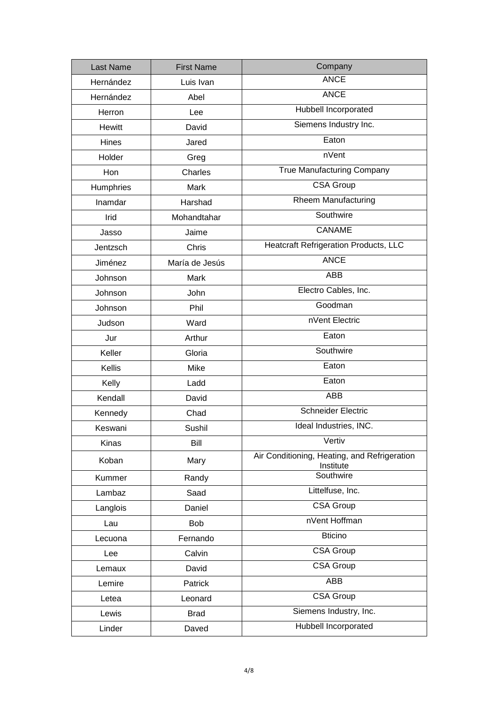| <b>Last Name</b> | <b>First Name</b> | Company                                                   |
|------------------|-------------------|-----------------------------------------------------------|
| Hernández        | Luis Ivan         | <b>ANCE</b>                                               |
| Hernández        | Abel              | <b>ANCE</b>                                               |
| Herron           | Lee               | Hubbell Incorporated                                      |
| <b>Hewitt</b>    | David             | Siemens Industry Inc.                                     |
| Hines            | Jared             | Eaton                                                     |
| Holder           | Greg              | nVent                                                     |
| Hon              | Charles           | <b>True Manufacturing Company</b>                         |
| Humphries        | Mark              | <b>CSA Group</b>                                          |
| Inamdar          | Harshad           | <b>Rheem Manufacturing</b>                                |
| Irid             | Mohandtahar       | Southwire                                                 |
| Jasso            | Jaime             | <b>CANAME</b>                                             |
| Jentzsch         | Chris             | <b>Heatcraft Refrigeration Products, LLC</b>              |
| Jiménez          | María de Jesús    | <b>ANCE</b>                                               |
| Johnson          | Mark              | ABB                                                       |
| Johnson          | John              | Electro Cables, Inc.                                      |
| Johnson          | Phil              | Goodman                                                   |
| Judson           | Ward              | nVent Electric                                            |
| Jur              | Arthur            | Eaton                                                     |
| Keller           | Gloria            | Southwire                                                 |
| <b>Kellis</b>    | Mike              | Eaton                                                     |
| Kelly            | Ladd              | Eaton                                                     |
| Kendall          | David             | ABB                                                       |
| Kennedy          | Chad              | <b>Schneider Electric</b>                                 |
| Keswani          | Sushil            | Ideal Industries, INC.                                    |
| Kinas            | Bill              | Vertiv                                                    |
| Koban            | Mary              | Air Conditioning, Heating, and Refrigeration<br>Institute |
| Kummer           | Randy             | Southwire                                                 |
| Lambaz           | Saad              | Littelfuse, Inc.                                          |
| Langlois         | Daniel            | <b>CSA Group</b>                                          |
| Lau              | <b>Bob</b>        | nVent Hoffman                                             |
| Lecuona          | Fernando          | <b>Bticino</b>                                            |
| Lee              | Calvin            | <b>CSA Group</b>                                          |
| Lemaux           | David             | <b>CSA Group</b>                                          |
| Lemire           | Patrick           | ABB                                                       |
| Letea            | Leonard           | <b>CSA Group</b>                                          |
| Lewis            | <b>Brad</b>       | Siemens Industry, Inc.                                    |
| Linder           | Daved             | Hubbell Incorporated                                      |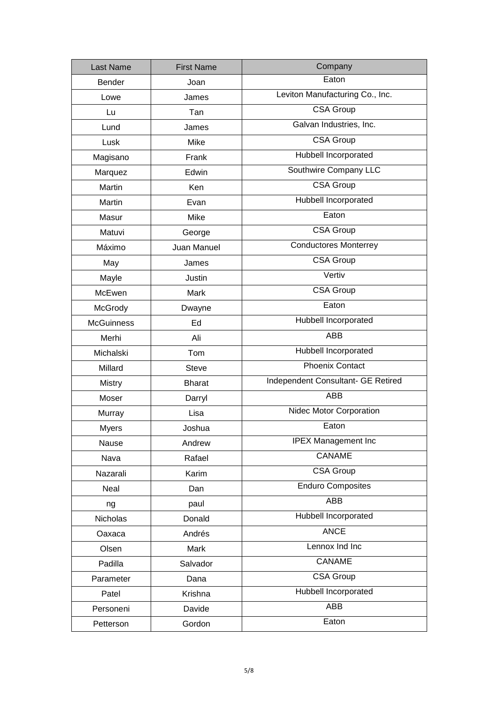| <b>Last Name</b>  | <b>First Name</b> | Company                            |
|-------------------|-------------------|------------------------------------|
| <b>Bender</b>     | Joan              | Eaton                              |
| Lowe              | James             | Leviton Manufacturing Co., Inc.    |
| Lu                | Tan               | <b>CSA Group</b>                   |
| Lund              | James             | Galvan Industries, Inc.            |
| Lusk              | Mike              | <b>CSA Group</b>                   |
| Magisano          | Frank             | Hubbell Incorporated               |
| Marquez           | Edwin             | Southwire Company LLC              |
| Martin            | Ken               | <b>CSA Group</b>                   |
| Martin            | Evan              | Hubbell Incorporated               |
| Masur             | Mike              | Eaton                              |
| Matuvi            | George            | <b>CSA Group</b>                   |
| Máximo            | Juan Manuel       | <b>Conductores Monterrey</b>       |
| May               | James             | <b>CSA Group</b>                   |
| Mayle             | Justin            | Vertiv                             |
| McEwen            | Mark              | <b>CSA Group</b>                   |
| McGrody           | Dwayne            | Eaton                              |
| <b>McGuinness</b> | Ed                | Hubbell Incorporated               |
| Merhi             | Ali               | <b>ABB</b>                         |
| Michalski         | Tom               | Hubbell Incorporated               |
| Millard           | <b>Steve</b>      | <b>Phoenix Contact</b>             |
| <b>Mistry</b>     | <b>Bharat</b>     | Independent Consultant- GE Retired |
| Moser             | Darryl            | <b>ABB</b>                         |
| Murray            | Lisa              | Nidec Motor Corporation            |
| <b>Myers</b>      | Joshua            | Eaton                              |
| Nause             | Andrew            | <b>IPEX Management Inc</b>         |
| Nava              | Rafael            | CANAME                             |
| Nazarali          | Karim             | <b>CSA Group</b>                   |
| Neal              | Dan               | <b>Enduro Composites</b>           |
| ng                | paul              | <b>ABB</b>                         |
| Nicholas          | Donald            | Hubbell Incorporated               |
| Oaxaca            | Andrés            | <b>ANCE</b>                        |
| Olsen             | Mark              | Lennox Ind Inc                     |
| Padilla           | Salvador          | CANAME                             |
| Parameter         | Dana              | <b>CSA Group</b>                   |
| Patel             | Krishna           | Hubbell Incorporated               |
| Personeni         | Davide            | ABB                                |
| Petterson         | Gordon            | Eaton                              |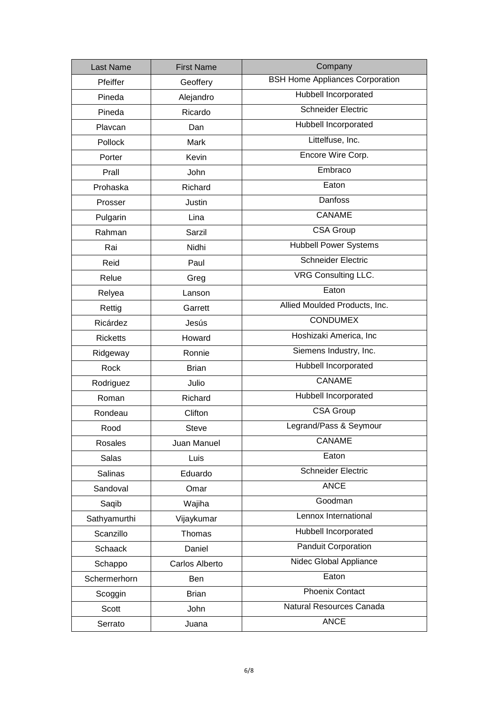| <b>Last Name</b> | <b>First Name</b> | Company                                |
|------------------|-------------------|----------------------------------------|
| Pfeiffer         | Geoffery          | <b>BSH Home Appliances Corporation</b> |
| Pineda           | Alejandro         | Hubbell Incorporated                   |
| Pineda           | Ricardo           | <b>Schneider Electric</b>              |
| Plavcan          | Dan               | Hubbell Incorporated                   |
| Pollock          | Mark              | Littelfuse, Inc.                       |
| Porter           | Kevin             | Encore Wire Corp.                      |
| Prall            | John              | Embraco                                |
| Prohaska         | Richard           | Eaton                                  |
| Prosser          | Justin            | <b>Danfoss</b>                         |
| Pulgarin         | Lina              | <b>CANAME</b>                          |
| Rahman           | Sarzil            | <b>CSA Group</b>                       |
| Rai              | Nidhi             | <b>Hubbell Power Systems</b>           |
| Reid             | Paul              | <b>Schneider Electric</b>              |
| Relue            | Greg              | VRG Consulting LLC.                    |
| Relyea           | Lanson            | Eaton                                  |
| Rettig           | Garrett           | Allied Moulded Products, Inc.          |
| Ricárdez         | Jesús             | <b>CONDUMEX</b>                        |
| <b>Ricketts</b>  | Howard            | Hoshizaki America, Inc                 |
| Ridgeway         | Ronnie            | Siemens Industry, Inc.                 |
| Rock             | <b>Brian</b>      | Hubbell Incorporated                   |
| Rodriguez        | Julio             | <b>CANAME</b>                          |
| Roman            | Richard           | Hubbell Incorporated                   |
| Rondeau          | Clifton           | CSA Group                              |
| Rood             | Steve             | Legrand/Pass & Seymour                 |
| Rosales          | Juan Manuel       | CANAME                                 |
| Salas            | Luis              | Eaton                                  |
| <b>Salinas</b>   | Eduardo           | <b>Schneider Electric</b>              |
| Sandoval         | Omar              | <b>ANCE</b>                            |
| Saqib            | Wajiha            | Goodman                                |
| Sathyamurthi     | Vijaykumar        | Lennox International                   |
| Scanzillo        | Thomas            | Hubbell Incorporated                   |
| <b>Schaack</b>   | Daniel            | <b>Panduit Corporation</b>             |
| Schappo          | Carlos Alberto    | Nidec Global Appliance                 |
| Schermerhorn     | Ben               | Eaton                                  |
| Scoggin          | <b>Brian</b>      | <b>Phoenix Contact</b>                 |
| Scott            | John              | Natural Resources Canada               |
| Serrato          | Juana             | <b>ANCE</b>                            |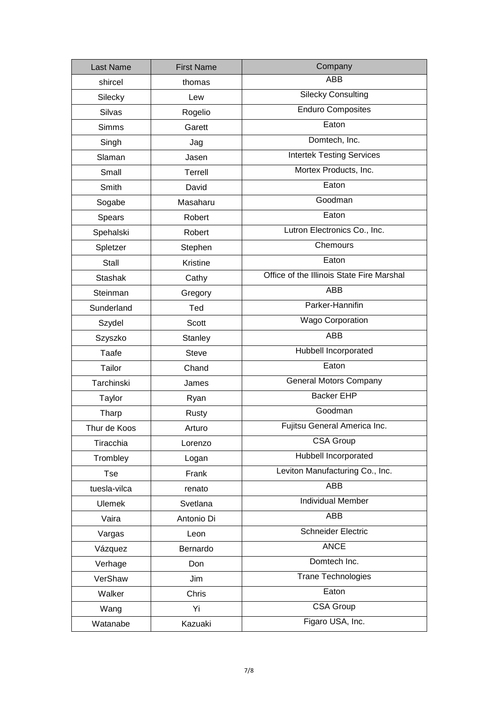| Last Name      | <b>First Name</b> | Company                                   |
|----------------|-------------------|-------------------------------------------|
| shircel        | thomas            | <b>ABB</b>                                |
| Silecky        | Lew               | <b>Silecky Consulting</b>                 |
| <b>Silvas</b>  | Rogelio           | <b>Enduro Composites</b>                  |
| <b>Simms</b>   | Garett            | Eaton                                     |
| Singh          | Jag               | Domtech, Inc.                             |
| Slaman         | Jasen             | <b>Intertek Testing Services</b>          |
| Small          | Terrell           | Mortex Products, Inc.                     |
| Smith          | David             | Eaton                                     |
| Sogabe         | Masaharu          | Goodman                                   |
| Spears         | Robert            | Eaton                                     |
| Spehalski      | Robert            | Lutron Electronics Co., Inc.              |
| Spletzer       | Stephen           | Chemours                                  |
| Stall          | Kristine          | Eaton                                     |
| <b>Stashak</b> | Cathy             | Office of the Illinois State Fire Marshal |
| Steinman       | Gregory           | <b>ABB</b>                                |
| Sunderland     | Ted               | Parker-Hannifin                           |
| Szydel         | Scott             | <b>Wago Corporation</b>                   |
| Szyszko        | Stanley           | ABB                                       |
| Taafe          | <b>Steve</b>      | Hubbell Incorporated                      |
| Tailor         | Chand             | Eaton                                     |
| Tarchinski     | James             | <b>General Motors Company</b>             |
| Taylor         | Ryan              | <b>Backer EHP</b>                         |
| Tharp          | Rusty             | Goodman                                   |
| Thur de Koos   | Arturo            | Fujitsu General America Inc.              |
| Tiracchia      | Lorenzo           | <b>CSA Group</b>                          |
| Trombley       | Logan             | Hubbell Incorporated                      |
| <b>Tse</b>     | Frank             | Leviton Manufacturing Co., Inc.           |
| tuesla-vilca   | renato            | ABB                                       |
| <b>Ulemek</b>  | Svetlana          | <b>Individual Member</b>                  |
| Vaira          | Antonio Di        | ABB                                       |
| Vargas         | Leon              | <b>Schneider Electric</b>                 |
| Vázquez        | Bernardo          | <b>ANCE</b>                               |
| Verhage        | Don               | Domtech Inc.                              |
| VerShaw        | Jim               | <b>Trane Technologies</b>                 |
| Walker         | Chris             | Eaton                                     |
| Wang           | Yi                | <b>CSA Group</b>                          |
| Watanabe       | Kazuaki           | Figaro USA, Inc.                          |